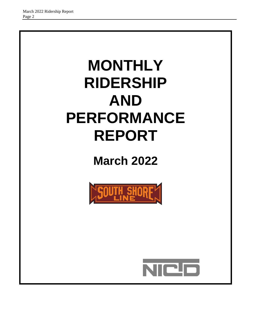# **MONTHLY RIDERSHIP AND PERFORMANCE REPORT**

**March 2022**



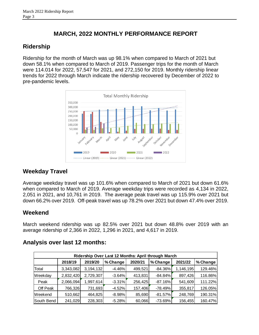# **MARCH, 2022 MONTHLY PERFORMANCE REPORT**

# **Ridership**

Ridership for the month of March was up 98.1% when compared to March of 2021 but down 58.1% when compared to March of 2019. Passenger trips for the month of March were 114.014 for 2022, 57,547 for 2021, and 272,150 for 2019. Monthly ridership linear trends for 2022 through March indicate the ridership recovered by December of 2022 to pre-pandemic levels.



# **Weekday Travel**

Average weekday travel was up 101.6% when compared to March of 2021 but down 61.6% when compared to March of 2019. Average weekday trips were recorded as 4,134 in 2022, 2,051 in 2021, and 10,761 in 2019. The average peak travel was up 115.9% over 2021 but down 66.2% over 2019. Off-peak travel was up 78.2% over 2021 but down 47.4% over 2019.

# **Weekend**

March weekend ridership was up 82.5% over 2021 but down 48.8% over 2019 with an average ridership of 2,366 in 2022, 1,296 in 2021, and 4,617 in 2019.

|            | Ridership Over Last 12 Months: April through March |           |          |         |           |           |          |  |  |  |
|------------|----------------------------------------------------|-----------|----------|---------|-----------|-----------|----------|--|--|--|
|            | 2018/19                                            | 2019/20   | % Change | 2020/21 | % Change  | 2021/22   | % Change |  |  |  |
| Total      | 3,343,082                                          | 3,194,132 | $-4.46%$ | 499,521 | -84.36%   | 1,146,195 | 129.46%  |  |  |  |
| Weekday    | 2,832,420                                          | 2,729,307 | $-3.64%$ | 413,831 | $-84.84%$ | 897,426   | 116.86%  |  |  |  |
| Peak       | 2,066,094                                          | 1,997,614 | $-3.31%$ | 256,425 | $-87.16%$ | 541,609   | 111.22%  |  |  |  |
| Off Peak   | 766,326                                            | 731,693   | $-4.52%$ | 157,406 | $-78.49%$ | 355,817   | 126.05%  |  |  |  |
| Weekend    | 510,662                                            | 464,825   | -8.98%   | 85,690  | $-81.57%$ | 248,769   | 190.31%  |  |  |  |
| South Bend | 241,029                                            | 228,303   | $-5.28%$ | 60,066  | $-73.69%$ | 156,455   | 160.47%  |  |  |  |

# **Analysis over last 12 months:**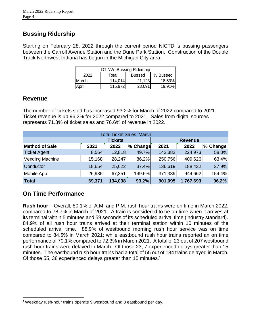# **Bussing Ridership**

Starting on February 28, 2022 through the current period NICTD is bussing passengers between the Carroll Avenue Station and the Dune Park Station. Construction of the Double Track Northwest Indiana has begun in the Michigan City area.

| DT NWI Bussing Ridership |         |               |          |  |  |  |  |
|--------------------------|---------|---------------|----------|--|--|--|--|
| 2022                     | Total   | <b>Bussed</b> | % Bussed |  |  |  |  |
| March                    | 114.014 | 21.123        | 18.53%   |  |  |  |  |
| April                    | 115.972 | 23.091        | 19.91%   |  |  |  |  |

## **Revenue**

The number of tickets sold has increased 93.2% for March of 2022 compared to 2021. Ticket revenue is up 96.2% for 2022 compared to 2021. Sales from digital sources represents 71.3% of ticket sales and 76.6% of revenue in 2022.

|                       |        |                | <b>Total Ticket Sales: March</b> |         |                |          |
|-----------------------|--------|----------------|----------------------------------|---------|----------------|----------|
|                       |        | <b>Tickets</b> |                                  |         | <b>Revenue</b> |          |
| <b>Method of Sale</b> | 2021   | 2022           | % Change                         | 2021    | 2022           | % Change |
| <b>Ticket Agent</b>   | 8,564  | 12,818         | 49.7%                            | 142,382 | 224,973        | 58.0%    |
| Vending Machine       | 15,168 | 28,247         | 86.2%                            | 250,756 | 409,626        | 63.4%    |
| Conductor             | 18,654 | 25,622         | 37.4%                            | 136,619 | 188,432        | 37.9%    |
| Mobile App            | 26,985 | 67,351         | 149.6%                           | 371,339 | 944,662        | 154.4%   |
| <b>Total</b>          | 69,371 | 134,038        | 93.2%                            | 901,095 | 1,767,693      | 96.2%    |

# **On Time Performance**

l

**Rush hour** – Overall, 80.1% of A.M. and P.M. rush hour trains were on time in March 2022, compared to 78.7% in March of 2021. A train is considered to be on time when it arrives at its terminal within 5 minutes and 59 seconds of its scheduled arrival time (industry standard). 84.9% of all rush hour trains arrived at their terminal station within 10 minutes of the scheduled arrival time. 88.9% of westbound morning rush hour service was on time compared to 84.5% in March 2021; while eastbound rush hour trains reported an on time performance of 70.1% compared to 72.3% in March 2021. A total of 23 out of 207 westbound rush hour trains were delayed in March. Of those 23, 7 experienced delays greater than 15 minutes. The eastbound rush hour trains had a total of 55 out of 184 trains delayed in March. Of those 55, 38 experienced delays greater than 15 minutes.<sup>1</sup>

<sup>1</sup>Weekday rush-hour trains operate 9 westbound and 8 eastbound per day.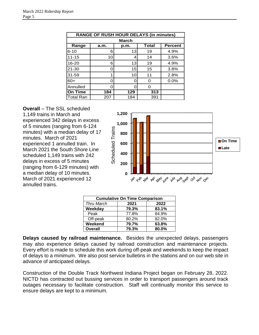|                  |              | <b>RANGE OF RUSH HOUR DELAYS (in minutes)</b> |              |                |  |  |  |  |  |  |
|------------------|--------------|-----------------------------------------------|--------------|----------------|--|--|--|--|--|--|
|                  | <b>March</b> |                                               |              |                |  |  |  |  |  |  |
| Range            | a.m.         | p.m.                                          | <b>Total</b> | <b>Percent</b> |  |  |  |  |  |  |
| $6 - 10$         | 6            | 13                                            | 19           | 4.9%           |  |  |  |  |  |  |
| $11 - 15$        | 10           | 4                                             | 14           | 3.6%           |  |  |  |  |  |  |
| $16 - 20$        | 6            | 13                                            | 19           | 4.9%           |  |  |  |  |  |  |
| $21 - 30$        | ი            | 15                                            | 15           | 3.8%           |  |  |  |  |  |  |
| $31 - 59$        |              | 10                                            | 11           | 2.8%           |  |  |  |  |  |  |
| $60+$            | ი            |                                               | ∩            | 0.0%           |  |  |  |  |  |  |
| Annulled         | 0            |                                               | ∩            |                |  |  |  |  |  |  |
| <b>On Time</b>   | 184          | 129                                           | 313          |                |  |  |  |  |  |  |
| <b>Total Ran</b> | 207          | 184                                           | 391          |                |  |  |  |  |  |  |

**Overall** – The SSL scheduled

1,149 trains in March and experienced 342 delays in excess of 5 minutes (ranging from 6-124 minutes) with a median delay of 17 minutes. March of 2021 experienced 1 annulled train. In March 2021 the South Shore Line scheduled 1,149 trains with 242 delays in excess of 5 minutes (ranging from 6-129 minutes) with a median delay of 10 minutes. March of 2021 experienced 12 annulled trains.



| <b>Cumulative On Time Comparison</b> |       |       |  |  |  |  |
|--------------------------------------|-------|-------|--|--|--|--|
| <b>Thru March</b>                    | 2021  | 2022  |  |  |  |  |
| Weekday                              | 79.3% | 83.1% |  |  |  |  |
| Peak                                 | 77.8% | 84.9% |  |  |  |  |
| Off-peak                             | 80.2% | 82.0% |  |  |  |  |
| Weekend                              | 79.7% | 63.8% |  |  |  |  |
| <b>Overall</b>                       | 79.3% | 80.0% |  |  |  |  |

**Delays caused by railroad maintenance.** Besides the unexpected delays, passengers may also experience delays caused by railroad construction and maintenance projects. Every effort is made to schedule this work during off-peak and weekends to keep the impact of delays to a minimum. We also post service bulletins in the stations and on our web site in advance of anticipated delays.

Construction of the Double Track Northwest Indiana Project began on February 28, 2022. NICTD has contracted out bussing services in order to transport passengers around track outages necessary to facilitate construction. Staff will continually monitor this service to ensure delays are kept to a minimum.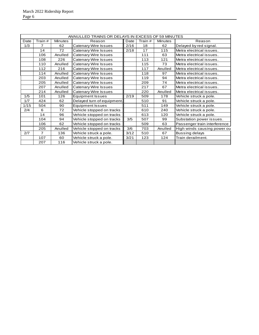|      |         |                | ANNULLED TRAINS OR DELAYS IN EXCESS OF 59 MINUTES |      |         |                |                              |
|------|---------|----------------|---------------------------------------------------|------|---------|----------------|------------------------------|
| Date | Train # | <b>Minutes</b> | Reason                                            | Date | Train # | <b>Minutes</b> | Reason                       |
| 1/3  | 7       | 62             | Catenary Wire Issues                              | 2/16 | 18      | 62             | Delayed by red signal.       |
|      | 14      | 72             | Catenary Wire Issues                              | 2/18 | 17      | 115            | Metra electrical issues.     |
|      | 106     | Anulled        | Catenary Wire Issues                              |      | 111     | 63             | Metra electrical issues.     |
|      | 108     | 226            | Catenary Wire Issues                              |      | 113     | 121            | Metra electrical issues.     |
|      | 110     | Anulled        | Catenary Wire Issues                              |      | 115     | 73             | Metra electrical issues.     |
|      | 112     | 216            | <b>Catenary Wire Issues</b>                       |      | 117     | Anulled        | Metra electrical issues.     |
|      | 114     | Anulled        | Catenary Wire Issues                              |      | 118     | 97             | Metra electrical issues.     |
|      | 203     | Anulled        | Catenary Wire Issues                              |      | 119     | 94             | Metra electrical issues.     |
|      | 205     | Anulled        | Catenary Wire Issues                              |      | 209     | 74             | Metra electrical issues.     |
|      | 207     | Anulled        | Catenary Wire Issues                              |      | 217     | 67             | Metra electrical issues.     |
|      | 214     | Anulled        | Catenary Wire Issues                              |      | 220     | Anulled        | Metra electrical issues.     |
| 1/5  | 101     | 126            | <b>Equipment Issues</b>                           | 2/19 | 509     | 178            | Vehicle struck a pole.       |
| 1/7  | 424     | 62             | Delayed turn of equipment.                        |      | 510     | 91             | Vehicle struck a pole.       |
| 1/15 | 504     | 90             | <b>Equipment Issues</b>                           |      | 511     | 149            | Vehicle struck a pole.       |
| 2/4  | 6       | 72             | Vehicle stopped on tracks                         |      | 610     | 240            | Vehicle struck a pole.       |
|      | 14      | 96             | Vehicle stopped on tracks                         |      | 613     | 120            | Vehicle struck a pole.       |
|      | 104     | 94             | Vehicle stopped on tracks                         | 3/5  | 507     | 99             | Substation power issues.     |
|      | 106     | 62             | Vehicle stopped on tracks                         |      | 509     | 63             | Passenger train interference |
|      | 205     | Anulled        | Vehicle stopped on tracks                         | 3/6  | 703     | Anulled        | High winds causing power ou  |
| 2/7  | 7       | 136            | Vehicle struck a pole.                            | 3/12 | 510     | 67             | <b>Bussing delays</b>        |
|      | 107     | 60             | Vehicle struck a pole.                            | 3/21 | 123     | 124            | Train derailment.            |
|      | 207     | 116            | Vehicle struck a pole.                            |      |         |                |                              |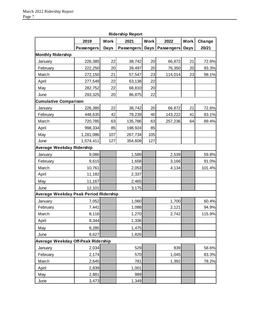|                                       |                   |             | Kidership Report  |             |                 |             |        |
|---------------------------------------|-------------------|-------------|-------------------|-------------|-----------------|-------------|--------|
|                                       | 2019              | <b>Work</b> | 2021              | <b>Work</b> | 2022            | <b>Work</b> | Change |
|                                       | <b>Passengers</b> | Days        | <b>Passengers</b> | Days        | Passengers Days |             | 20/21  |
| <b>Monthly Ridership</b>              |                   |             |                   |             |                 |             |        |
| January                               | 226,385           | 22          | 38,742            | 20          | 66,872          | 21          | 72.6%  |
| February                              | 222,250           | 20          | 39,497            | 20          | 76,350          | 20          | 93.3%  |
| March                                 | 272,150           | 21          | 57,547            | 23          | 114,014         | 23          | 98.1%  |
| April                                 | 277,549           | 22          | 63,138            | 22          |                 |             |        |
| May                                   | 282,752           | 22          | 68,810            | 20          |                 |             |        |
| June                                  | 293,325           | 20          | 86,875            | 22          |                 |             |        |
| <b>Cumulative Comparison</b>          |                   |             |                   |             |                 |             |        |
| January                               | 226,385           | 22          | 38,742            | 20          | 66,872          | 21          | 72.6%  |
| February                              | 448,635           | 42          | 78,239            | 40          | 143,222         | 41          | 83.1%  |
| March                                 | 720,785           | 63          | 135,786           | 63          | 257,236         | 64          | 89.4%  |
| April                                 | 998,334           | 85          | 198,924           | 85          |                 |             |        |
| May                                   | 1,281,086         | 107         | 267,734           | 105         |                 |             |        |
| June                                  | 1,574,411         | 127         | 354,609           | 127         |                 |             |        |
| <b>Average Weekday Ridership</b>      |                   |             |                   |             |                 |             |        |
| January                               | 9,086             |             | 1,589             |             | 2,539           |             | 59.8%  |
| February                              | 9,615             |             | 1,658             |             | 3,166           |             | 91.0%  |
| March                                 | 10,761            |             | 2,053             |             | 4,134           |             | 101.4% |
| April                                 | 11,182            |             | 2,337             |             |                 |             |        |
| May                                   | 11,167            |             | 2,465             |             |                 |             |        |
| June                                  | 12,101            |             | 3,175             |             |                 |             |        |
| Average Weekday Peak Period Ridership |                   |             |                   |             |                 |             |        |
| January                               | 7,052             |             | 1,060             |             | 1,700           |             | 60.4%  |
| February                              | 7,441             |             | 1,088             |             | 2,121           |             | 94.9%  |
| March                                 | 8,116             |             | 1,270             |             | 2,742           |             | 115.9% |
| April                                 | 8,344             |             | 1,336             |             |                 |             |        |
| May                                   | 8,285             |             | 1,475             |             |                 |             |        |
| June                                  | 8,627             |             | 1,826             |             |                 |             |        |
| Average Weekday Off-Peak Ridership    |                   |             |                   |             |                 |             |        |
| January                               | 2,034             |             | 529               |             | 839             |             | 58.6%  |
| February                              | 2,174             |             | 570               |             | 1,045           |             | 83.3%  |
| March                                 | 2,645             |             | 781               |             | 1,392           |             | 78.2%  |
| April                                 | 2,839             |             | 1,001             |             |                 |             |        |
| May                                   | 2,881             |             | 989               |             |                 |             |        |
| June                                  | 3,473             |             | 1,349             |             |                 |             |        |

**Ridership Report**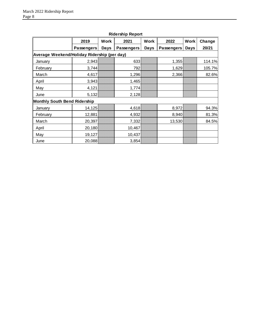|                                             | 2019              | <b>Work</b> | 2021       | <b>Work</b> | 2022              | Work | Change |
|---------------------------------------------|-------------------|-------------|------------|-------------|-------------------|------|--------|
|                                             | <b>Passengers</b> | Days        | Passengers | <b>Days</b> | <b>Passengers</b> | Days | 20/21  |
| Average Weekend/Holiday Ridership (per day) |                   |             |            |             |                   |      |        |
| January                                     | 2,943             |             | 633        |             | 1,355             |      | 114.1% |
| February                                    | 3,744             |             | 792        |             | 1,629             |      | 105.7% |
| March                                       | 4,617             |             | 1,296      |             | 2,366             |      | 82.6%  |
| April                                       | 3,943             |             | 1,465      |             |                   |      |        |
| May                                         | 4,121             |             | 1,774      |             |                   |      |        |
| June                                        | 5,132             |             | 2,128      |             |                   |      |        |
| <b>Monthly South Bend Ridership</b>         |                   |             |            |             |                   |      |        |
| January                                     | 14,125            |             | 4,618      |             | 8,972             |      | 94.3%  |
| February                                    | 12,881            |             | 4,932      |             | 8,940             |      | 81.3%  |
| March                                       | 20,397            |             | 7,332      |             | 13,530            |      | 84.5%  |
| April                                       | 20,180            |             | 10,467     |             |                   |      |        |
| May                                         | 19,127            |             | 10,437     |             |                   |      |        |
| June                                        | 20,088            |             | 3,854      |             |                   |      |        |

### **Ridership Report**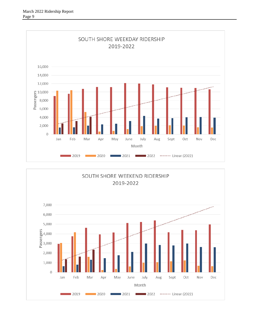

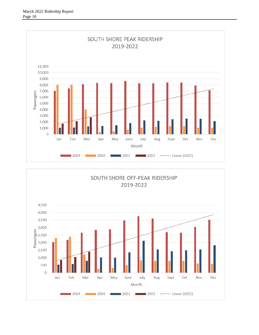

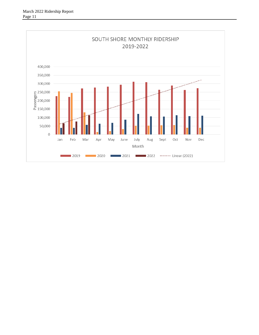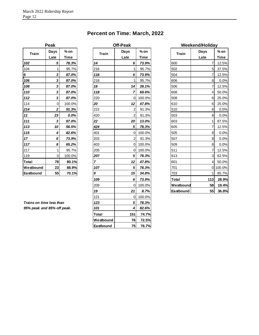# **Percent on Time: March, 2022**

|                  | Peak           |        |
|------------------|----------------|--------|
| <b>Train</b>     | Days           | % on   |
|                  | Late           | Time   |
| 102              | 5              | 78.3%  |
| 104              | 1              | 95.7%  |
| 6                | 3              | 87.0%  |
| 106              | 3              | 87.0%  |
| 108              | 3              | 87.0%  |
| 110              | 3              | 87.0%  |
| 112              | 3              | 87.0%  |
| 114              | $\overline{0}$ | 100.0% |
| 214              | 2              | 91.3%  |
| 11               | 23             | 0.0%   |
| 111              | 3              | 87.0%  |
| 113              | 10             | 56.5%  |
| 115              | 4              | 82.6%  |
| 17               | 6              | 73.9%  |
| 117              | 8              | 65.2%  |
| 217              | 1              | 95.7%  |
| 119              | $\overline{0}$ | 100.0% |
| Total            | 78             | 80.1%  |
| Westbound        | 23             | 88.9%  |
| <b>Eastbound</b> | 55             | 70.1%  |

|                            | Peak         |             |              | <b>Off-Peak</b>  |             |              | Weekend/Holiday |             |
|----------------------------|--------------|-------------|--------------|------------------|-------------|--------------|-----------------|-------------|
| <b>Train</b>               | Days         | $%$ on      | <b>Train</b> | Days             | $%$ on      | <b>Train</b> | Days            | $%$ on      |
|                            | Late         | <b>Time</b> |              | Late             | <b>Time</b> |              | Late            | <b>Time</b> |
| 102                        | 5            | 78.3%       | 14           | 6                | 73.9%       | 600          | 7               | 12.5%       |
| 104                        | 1            | 95.7%       | 216          | 1                | 95.7%       | 502          | 5               | 37.5%       |
| 6                          | 3            | 87.0%       | 116          | 6                | 73.9%       | 504          | 7               | 12.5%       |
| 106                        | 3            | 87.0%       | 218          | 1                | 95.7%       | 606          | 8               | 0.0%        |
| 108                        | 3            | 87.0%       | 18           | 14               | 39.1%       | 506          | $\overline{7}$  | 12.5%       |
| 110                        | 3            | 87.0%       | 118          | $\overline{7}$   | 69.6%       | 608          | 4               | 50.0%       |
| 112                        | 3            | 87.0%       | 220          | $\mathbf 0$      | 100.0%      | 508          | 6               | 25.0%       |
| 114                        | 0            | 100.0%      | 20           | 12               | 47.8%       | 610          | 6               | 25.0%       |
| 214                        | 2            | 91.3%       | 222          | $\overline{2}$   | 91.3%       | 510          | 8               | 0.0%        |
| 11                         | 23           | 0.0%        | 420          | $\overline{2}$   | 91.3%       | 503          | 8               | 0.0%        |
| 111                        | 3            | 87.0%       | 22           | 20               | 13.0%       | 603          | $\mathbf{1}$    | 87.5%       |
| 113                        | 10           | 56.5%       | 424          | 5                | 78.3%       | 605          | $\overline{7}$  | 12.5%       |
| 115                        | 4            | 82.6%       | 401          | $\mathbf 0$      | 100.0%      | 505          | 8               | 0.0%        |
| 17                         | 6            | 73.9%       | 203          | $\overline{c}$   | 91.3%       | 507          | 8               | 0.0%        |
| 117                        | 8            | 65.2%       | 403          | $\mathbf 0$      | 100.0%      | 509          | 8               | 0.0%        |
| 217                        | $\mathbf{1}$ | 95.7%       | 205          | $\mathbf 0$      | 100.0%      | 511          | 7               | 12.5%       |
| 119                        | $\mathbf 0$  | 100.0%      | 207          | 5                | 78.3%       | 613          | $\mathbf{3}$    | 62.5%       |
| Total                      | 78           | 80.1%       | 7            | 12               | 47.8%       | 601          | 4               | 50.0%       |
| Westbound                  | 23           | 88.9%       | 107          | 5                | 78.3%       | 701          |                 | 0 100.0%    |
| Eastbound                  | 55           | 70.1%       | 9            | 15               | 34.8%       | 703          | $\mathbf{1}$    | 85.7%       |
|                            |              |             | 109          | 6                | 73.9%       | Total        | 113             | 28.9%       |
|                            |              |             | 209          | $\mathbf 0$      | 100.0%      | Westbound    | 58              | 19.4%       |
|                            |              |             | 19           | 21               | 8.7%        | Eastbound    | 55              | 36.8%       |
|                            |              |             | 121          | $\boldsymbol{0}$ | 100.0%      |              |                 |             |
| Trains on time less than   |              |             | 123          | 5                | 78.3%       |              |                 |             |
| 95% peak and 85% off peak. |              |             | 101          | 4                | 82.6%       |              |                 |             |
|                            |              |             | Total        | 151              | 74.7%       |              |                 |             |
|                            |              |             | Westbound    | 76               | 72.5%       |              |                 |             |
|                            |              |             | Eastbound    | 75               | 76.7%       |              |                 |             |

|              | Weekend/Holiday |             |
|--------------|-----------------|-------------|
| <b>Train</b> | Days            | % on        |
|              | Late            | <b>Time</b> |
| 600          | 7               | 12.5%       |
| 502          | 5               | 37.5%       |
| 504          | 7               | 12.5%       |
| 606          | 8               | 0.0%        |
| 506          | 7               | 12.5%       |
| 608          | 4               | 50.0%       |
| 508          | 6               | 25.0%       |
| 610          | 6               | 25.0%       |
| 510          | 8               | $0.0\%$     |
| 503          | 8               | 0.0%        |
| 603          | 1               | 87.5%       |
| 605          | 7               | 12.5%       |
| 505          | 8               | 0.0%        |
| 507          | 8               | 0.0%        |
| 509          | 8               | 0.0%        |
| 511          | 7               | 12.5%       |
| 613          | 3               | 62.5%       |
| 601          | 4               | 50.0%       |
| 701          | 0               | 100.0%      |
| 703          | 1               | 85.7%       |
| Total        | 113             | 28.9%       |
| Westbound    | 58              | 19.4%       |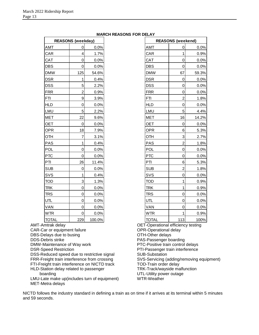|              | <b>REASONS (weekday)</b> |        |              | <b>REASONS (weekend)</b> |       |
|--------------|--------------------------|--------|--------------|--------------------------|-------|
| <b>AMT</b>   | 0                        | 0.0%   | <b>AMT</b>   | 0                        | 0.0%  |
| CAR          | 4                        | 1.7%   | <b>CAR</b>   | 1                        | 0.9%  |
| CAT          | $\mathbf 0$              | 0.0%   | CAT          | 0                        | 0.0%  |
| <b>DBS</b>   | 0                        | 0.0%   | <b>DBS</b>   | 0                        | 0.0%  |
| <b>DMW</b>   | 125                      | 54.6%  | <b>DMW</b>   | 67                       | 59.3% |
| <b>DSR</b>   | 1                        | 0.4%   | <b>DSR</b>   | 0                        | 0.0%  |
| <b>DSS</b>   | 5                        | 2.2%   | <b>DSS</b>   | 0                        | 0.0%  |
| <b>FRR</b>   | $\overline{2}$           | 0.9%   | <b>FRR</b>   | 0                        | 0.0%  |
| <b>FTI</b>   | 9                        | 3.9%   | <b>FTI</b>   | $\overline{2}$           | 1.8%  |
| <b>HLD</b>   | $\mathbf 0$              | 0.0%   | <b>HLD</b>   | $\mathsf 0$              | 0.0%  |
| LMU          | 5                        | 2.2%   | LMU          | 5                        | 4.4%  |
| <b>MET</b>   | 22                       | 9.6%   | <b>MET</b>   | 16                       | 14.2% |
| <b>OET</b>   | $\boldsymbol{0}$         | 0.0%   | <b>OET</b>   | 0                        | 0.0%  |
| <b>OPR</b>   | 18                       | 7.9%   | OPR          | 6                        | 5.3%  |
| <b>OTH</b>   | 7                        | 3.1%   | <b>OTH</b>   | 3                        | 2.7%  |
| PAS          | $\mathbf{1}$             | 0.4%   | <b>PAS</b>   | $\overline{2}$           | 1.8%  |
| POL          | $\mathbf 0$              | 0.0%   | POL          | $\mathbf 0$              | 0.0%  |
| <b>PTC</b>   | $\mathbf 0$              | 0.0%   | <b>PTC</b>   | $\overline{0}$           | 0.0%  |
| PTI          | 26                       | 11.4%  | PTI          | 6                        | 5.3%  |
| <b>SUB</b>   | $\mathbf 0$              | 0.0%   | <b>SUB</b>   | $\overline{2}$           | 1.8%  |
| SVS          | 1                        | 0.4%   | <b>SVS</b>   | 0                        | 0.0%  |
| <b>TOD</b>   | 3                        | 1.3%   | <b>TOD</b>   | 1                        | 0.9%  |
| <b>TRK</b>   | $\mathbf 0$              | 0.0%   | <b>TRK</b>   | 1                        | 0.9%  |
| <b>TRS</b>   | $\overline{0}$           | 0.0%   | <b>TRS</b>   | $\overline{0}$           | 0.0%  |
| UTL          | 0                        | 0.0%   | UTL          | 0                        | 0.0%  |
| VAN          | 0                        | 0.0%   | VAN          | 0                        | 0.0%  |
| <b>WTR</b>   | $\mathbf 0$              | 0.0%   | <b>WTR</b>   | 1                        | 0.9%  |
| <b>TOTAL</b> | 229                      | 100.0% | <b>TOTAL</b> | 113                      | 100%  |

CAR-Car or equipment failure DBS-Delays due to busing

DMW-Maintenance of Way work

DSS-Reduced speed due to restrictive signal FRR-Freight train interference from crossing FTI-Freight train interference on NICTD track HLD-Station delay related to passenger

LMU-Late make up(includes turn of equipment)

DDS-Debris strike

boarding

MET-Metra delays

DSR-Speed Restriction

#### **MARCH REASONS FOR DELAY**

OET-Operational efficiency testing OPR-Operational delay OTH-Other delays PAS-Passenger boarding PTC-Positive train control delays PTI-Passenger train interference SUB-Substation SVS-Servicing (adding/removing equipment) DBS | 0 0.0% DBS | 0 0.0% DMW | 125 54.6% DMW | 67 59.3% DSR | 1 0.4% DSR | 0 0.0% DSS 5 2.2% DSS 0 0.0% FRR 2 0.9% FRR 0 0.0% FTI 9 3.9% FTI 2 1.8% HLD 0 0.0% HLD 0 0.0% LMU | 5| 2.2%| | |LMU | 5| 4.4% MET | 22 9.6% MET | 16 14.2% OET | 0 0.0% OET | 0 0.0% OPR | 18 7.9% OPR | 6 5.3% OTH | 7 3.1% OTH | 3 2.7% PAS | 1 0.4% PAS 2 1.8% POL | 0 0.0% POL 0 0.0% PTC | 0 0.0% PTC 0 0.0% PTI | 26 11.4% PTI 6 5.3% SUB | 0 0.0% | SUB | 2 1.8% SVS | 1 | 0.4% | |SVS | 0 | 0.0% TOD 3 1.3% TOD 1 0.9% TRK | 0 0.0% TRK 1 0.9% TRS 0 0.0% TRS 0 0.0% UTL 0 0.0% UTL 0 0.0% VAN | 0 0.0% VAN | 0 0.0% WTR 0 0.0% WTR 1 0.9% TOTAL 229 100.0% TOTAL 113 100%

TOD-Train order delay TRK-Track/wayside malfunction

UTL-Utility power outage

WTR-Weather

NICTD follows the industry standard in defining a train as on time if it arrives at its terminal within 5 minutes and 59 seconds.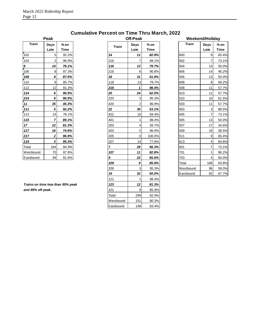|              | Peak           |       |
|--------------|----------------|-------|
| <b>Train</b> | Days           | % on  |
|              | Late           | Time  |
| 102          | 5              | 92.2% |
| 104          | $\overline{2}$ | 96.9% |
| 6            | 14             | 78.1% |
| 106          | 8              | 87.3% |
| 108          | 8              | 87.5% |
| 110          | 9              | 85.7% |
| 112          | 12             | 81.3% |
| 114          | 6              | 90.5% |
| 214          | 6              | 90.5% |
| 11           | 35             | 45.3% |
| 111          | 5              | 92.2% |
| 113          | 14             | 78.1% |
| 115          | 7              | 89.1% |
| 17           | 12             | 81.3% |
| 117          | 16             | 74.6% |
| 217          | 2              | 96.9% |
| 119          | 3              | 95.3% |
| Total        | 164            | 84.9% |
| Westbound    | 70             | 87.8% |
| Eastbound    | 94             | 81.6% |

**Cumulative Percent on Time Thru March, 2022**

| <b>Train</b>                      | Days           | $%$ on | <b>Train</b>   | Days           | $%$ on      | <b>Train</b> | Days           |  |
|-----------------------------------|----------------|--------|----------------|----------------|-------------|--------------|----------------|--|
|                                   | Late           | Time   |                | Late           | <b>Time</b> |              | Late           |  |
| 102                               | 5              | 92.2%  | 14             | 11             | 82.8%       | 600          | 9              |  |
| 104                               | $\overline{2}$ | 96.9%  | 216            | $\overline{7}$ | 89.1%       | 502          | $\overline{7}$ |  |
|                                   | 14             | 78.1%  | 116            | 13             | 79.7%       | 504          | 13             |  |
| 106                               | 8              | 87.3%  | 216            | 6              | 90.6%       | 606          | 14             |  |
| 108                               | 8              | 87.5%  | 18             | 31             | 51.6%       | 506          | 13             |  |
| 110                               | 9              | 85.7%  | 118            | 13             | 79.7%       | 608          | 8              |  |
| 112                               | 12             | 81.3%  | 218            | 1              | 98.4%       | 508          | 11             |  |
| 114                               | 6              | 90.5%  | 20             | 24             | 62.5%       | 610          | 11             |  |
| 214                               | 6              | 90.5%  | 220            | 3              | 95.3%       | 510          | 10             |  |
| 11                                | 35             | 45.3%  | 420            | $\overline{2}$ | 96.9%       | 503          | 11             |  |
| 111                               | 5              | 92.2%  | 22             | 30             | 53.1%       | 603          | 3              |  |
| 113                               | 14             | 78.1%  | 422            | 10             | 84.4%       | 605          | 7              |  |
| 115                               | $\overline{7}$ | 89.1%  | 401            | 1              | 98.4%       | 505          | 13             |  |
| 17 <sub>2</sub>                   | 12             | 81.3%  | 203            | 4              | 93.7%       | 507          | 17             |  |
| 117                               | 16             | 74.6%  | 403            | $\overline{2}$ | 96.9%       | 509          | 16             |  |
| <u> 217</u>                       | 2              | 96.9%  | 205            | 0              | 100.0%      | 511          | 9              |  |
| 119                               | 3              | 95.3%  | 207            | 14             | 77.8%       | 613          | 4              |  |
| Total                             | 164            | 84.9%  | $\overline{7}$ | 28             | 56.3%       | 601          | $\overline{7}$ |  |
| Westbound                         | 70             | 87.8%  | 107            | 11             | 82.8%       | 701          | 1              |  |
| Eastbound                         | 94             | 81.6%  | 9              | 22             | 65.6%       | 703          | 4              |  |
|                                   |                |        | 109            | 9              | 85.9%       | Total        | 188            |  |
|                                   |                |        | 209            | 3              | 95.3%       | Westbound    | 96             |  |
|                                   |                |        | 19             | 32             | 50.0%       | Eastbound    | 92             |  |
|                                   |                |        | 121            | $\mathbf{1}$   | 98.4%       |              |                |  |
| Trains on time less than 95% peak |                |        | 123            | 12             | 81.3%       |              |                |  |
| and 85% off peak.                 |                |        | 101            | 9              | 85.9%       |              |                |  |
|                                   |                |        | Total          | 299            | 82.0%       |              |                |  |
|                                   |                |        | Westbound      | 151            | 80.3%       |              |                |  |
|                                   |                |        | Eastbound      | 148            | 83.4%       |              |                |  |

| Peak             |                |                | <b>Off-Peak</b>  |                | <b>Weekend/Holiday</b> |              |                       |
|------------------|----------------|----------------|------------------|----------------|------------------------|--------------|-----------------------|
| Days<br>Late     | $%$ on<br>Time | <b>Train</b>   | Days<br>Late     | $%$ on<br>Time | <b>Train</b>           | Days<br>Late | $%$ on<br><b>Time</b> |
| 5                | 92.2%          | 14             | 11               | 82.8%          | 600                    | 9            | 65.4%                 |
| 2                | 96.9%          | 216            | 7                | 89.1%          | 502                    | 7            | 73.1%                 |
| 14               | 78.1%          | 116            | 13               | 79.7%          | 504                    | 13           | 50.0%                 |
| 8                | 87.3%          | 216            | 6                | 90.6%          | 606                    | 14           | 46.2%                 |
| 8                | 87.5%          | 18             | 31               | 51.6%          | 506                    | 13           | 50.0%                 |
| 9                | 85.7%          | 118            | 13               | 79.7%          | 608                    | 8            | 69.2%                 |
| 12               | 81.3%          | 218            | 1                | 98.4%          | 508                    | 11           | 57.7%                 |
| 6                | 90.5%          | 20             | 24               | 62.5%          | 610                    | 11           | 57.7%                 |
| 6                | 90.5%          | 220            | 3                | 95.3%          | 510                    | 10           | 61.5%                 |
| 35               | 45.3%          | 420            | $\overline{2}$   | 96.9%          | 503                    | 11           | 57.7%                 |
| 5                | 92.2%          | 22             | 30               | 53.1%          | 603                    | 3            | 88.5%                 |
| 14               | 78.1%          | 422            | 10               | 84.4%          | 605                    | 7            | 73.1%                 |
| $\overline{7}$   | 89.1%          | 401            | 1                | 98.4%          | 505                    | 13           | 50.0%                 |
| 12               | 81.3%          | 203            | 4                | 93.7%          | 507                    | 17           | 34.6%                 |
| 16               | 74.6%          | 403            | $\overline{2}$   | 96.9%          | 509                    | 16           | 38.5%                 |
| $\boldsymbol{2}$ | 96.9%          | 205            | $\boldsymbol{0}$ | 100.0%         | 511                    | 9            | 65.4%                 |
| 3                | 95.3%          | 207            | 14               | 77.8%          | 613                    | 4            | 84.6%                 |
| 164              | 84.9%          | $\overline{7}$ | 28               | 56.3%          | 601                    | 7            | 73.1%                 |
| 70               | 87.8%          | 107            | 11               | 82.8%          | 701                    | 1            | 96.2%                 |
| 94               | 81.6%          | 9              | 22               | 65.6%          | 703                    | 4            | 84.0%                 |
|                  |                | 109            | 9                | 85.9%          | Total                  | 188          | 63.8%                 |
|                  |                | 209            | 3                | 95.3%          | Westbound              | 96           | 59.0%                 |
|                  |                | 19             | 32               | 50.0%          | Eastbound              | 92           | 67.7%                 |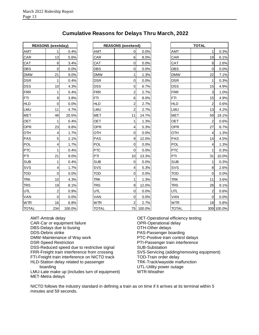| <b>Cumulative Reasons for Delays Thru March, 2022</b> |  |  |  |  |  |  |
|-------------------------------------------------------|--|--|--|--|--|--|
|-------------------------------------------------------|--|--|--|--|--|--|

|              | <b>REASONS (weekday)</b> |        |              | <b>REASONS</b> (weekend) |
|--------------|--------------------------|--------|--------------|--------------------------|
| AMT          | 1                        | 0.4%   | AMT          | 0                        |
| CAR          | 13                       | 5.6%   | CAR          | 6                        |
| CAT          | 8                        | 3.4%   | CAT          | 0                        |
| <b>DBS</b>   | 0                        | 0.0%   | <b>DBS</b>   | 0                        |
| <b>DMW</b>   | 21                       | 9.0%   | <b>DMW</b>   | 1                        |
| <b>DSR</b>   | 1                        | 0.4%   | <b>DSR</b>   | 0                        |
| <b>DSS</b>   | 10                       | 4.3%   | <b>DSS</b>   | 5                        |
| <b>FRR</b>   | 1                        | 0.4%   | <b>FRR</b>   | 2                        |
| <b>FTI</b>   | 9                        | 3.8%   | FTI          | 6                        |
| <b>HLD</b>   | 0                        | 0.0%   | <b>HLD</b>   | $\overline{2}$           |
| LMU          | 11                       | 4.7%   | LMU          | 2                        |
| <b>MET</b>   | 48                       | 20.5%  | <b>MET</b>   | 11                       |
| <b>OET</b>   | 1                        | 0.4%   | <b>OET</b>   | 1                        |
| <b>OPR</b>   | 23                       | 9.8%   | <b>OPR</b>   | 4                        |
| OTH          | 4                        | 1.7%   | OTH          | 0                        |
| <b>PAS</b>   | 5                        | 2.1%   | <b>PAS</b>   | 9                        |
| <b>POL</b>   | 4                        | 1.7%   | <b>POL</b>   | 0                        |
| <b>PTC</b>   | 1                        | 0.4%   | <b>PTC</b>   | 0                        |
| PTI          | 21                       | 9.0%   | PTI          | 10                       |
| <b>SUB</b>   | 1                        | 0.4%   | <b>SUB</b>   | 0                        |
| SVS          | 4                        | 1.7%   | SVS          | 4                        |
| <b>TOD</b>   | 0                        | 0.0%   | <b>TOD</b>   | 0                        |
| <b>TRK</b>   | 10                       | 4.3%   | <b>TRK</b>   | 1                        |
| <b>TRS</b>   | 19                       | 8.1%   | <b>TRS</b>   | 9                        |
| UTL          | 2                        | 0.9%   | <b>UTL</b>   | 0                        |
| <b>VAN</b>   | 0                        | 0.0%   | VAN          | $\Omega$                 |
| <b>WTR</b>   | 16                       | 6.8%   | <b>WTR</b>   | 2                        |
| <b>TOTAL</b> | 234                      | 100.0% | <b>TOTAL</b> | 75                       |

|              | <b>REASONS (weekday)</b> |        |              | <b>REASONS (weekend)</b> |           |              | <b>TOTAL</b>   |            |
|--------------|--------------------------|--------|--------------|--------------------------|-----------|--------------|----------------|------------|
| AMT          | 1                        | 0.4%   | <b>AMT</b>   | 0                        | 0.0%      | AMT          |                | 0.3%       |
| CAR          | 13                       | 5.6%   | CAR          | 6                        | 8.0%      | CAR          | 19             | 6.1%       |
| CAT          | 8                        | 3.4%   | CAT          | 0                        | 0.0%      | CAT          | 8              | 2.6%       |
| DBS          | 0                        | 0.0%   | <b>DBS</b>   | 0                        | 0.0%      | <b>DBS</b>   | 0              | 0.0%       |
| <b>DMW</b>   | 21                       | 9.0%   | <b>DMW</b>   | 1                        | 1.3%      | <b>DMW</b>   | 22             | 7.1%       |
| DSR          | $\mathbf{1}$             | 0.4%   | <b>DSR</b>   | 0                        | 0.0%      | <b>DSR</b>   | 1              | 0.3%       |
| DSS          | 10                       | 4.3%   | <b>DSS</b>   | 5                        | 6.7%      | <b>DSS</b>   | 15             | 4.9%       |
| <b>FRR</b>   | $\mathbf{1}$             | 0.4%   | <b>FRR</b>   | $\overline{c}$           | 2.7%      | <b>FRR</b>   | 3              | 1.0%       |
| FTI          | $\boldsymbol{9}$         | 3.8%   | FTI.         | 6                        | 8.0%      | <b>FTI</b>   | 15             | 4.9%       |
| <b>HLD</b>   | $\pmb{0}$                | 0.0%   | <b>HLD</b>   | $\overline{\mathbf{c}}$  | 2.7%      | <b>HLD</b>   | $\overline{2}$ | 0.6%       |
| LMU          | 11                       | 4.7%   | LMU          | $\overline{c}$           | 2.7%      | LMU          | 13             | 4.2%       |
| MET          | 48                       | 20.5%  | <b>MET</b>   | 11                       | 14.7%     | <b>MET</b>   | 59             | 19.1%      |
| OET          | 1                        | 0.4%   | <b>OET</b>   | $\mathbf{1}$             | 1.3%      | OET          | $\overline{2}$ | 0.6%       |
| OPR          | 23                       | 9.8%   | <b>OPR</b>   | 4                        | 5.3%      | <b>OPR</b>   | 27             | 8.7%       |
| OTH          | 4                        | 1.7%   | OTH          | 0                        | 0.0%      | OTH          | 4              | 1.3%       |
| <b>PAS</b>   | 5                        | 2.1%   | PAS          | 9                        | 12.0%     | PAS          | 14             | 4.5%       |
| <b>POL</b>   | 4                        | 1.7%   | <b>POL</b>   | $\pmb{0}$                | 0.0%      | POL          | 4              | 1.3%       |
| <b>PTC</b>   | $\mathbf{1}$             | 0.4%   | <b>PTC</b>   | 0                        | 0.0%      | <b>PTC</b>   |                | 0.3%       |
| PTI          | 21                       | 9.0%   | PTI          | 10                       | 13.3%     | PTI          | 31             | 10.0%      |
| SUB          | 1                        | 0.4%   | <b>SUB</b>   | 0                        | 0.0%      | <b>SUB</b>   | 1              | 0.3%       |
| SVS          | 4                        | 1.7%   | SVS          | 4                        | 5.3%      | SVS          | 8              | 2.6%       |
| TOD          | $\mathsf 0$              | 0.0%   | <b>TOD</b>   | 0                        | 0.0%      | <b>TOD</b>   | $\Omega$       | 0.0%       |
| TRK          | 10                       | 4.3%   | <b>TRK</b>   | 1                        | 1.3%      | <b>TRK</b>   | 11             | 3.6%       |
| <b>TRS</b>   | 19                       | 8.1%   | <b>TRS</b>   | 9                        | 12.0%     | <b>TRS</b>   | 28             | 9.1%       |
| UTL          | $\overline{2}$           | 0.9%   | UTL          | 0                        | 0.0%      | UTL          | $\overline{2}$ | 0.6%       |
| VAN          | $\mathbf 0$              | 0.0%   | VAN          | 0                        | 0.0%      | VAN          | $\Omega$       | 0.0%       |
| <b>WTR</b>   | 16                       | 6.8%   | <b>WTR</b>   | 2                        | 2.7%      | <b>WTR</b>   | 18             | 5.8%       |
| <b>TOTAI</b> | 234                      | 100.0% | <b>TOTAL</b> |                          | 75 100 0% | <b>TOTAL</b> |                | 309 100 0% |

| <b>REASONS (weekday)</b> |                  |        |              | <b>REASONS (weekend)</b> |           | <b>TOTAL</b> |                |            |
|--------------------------|------------------|--------|--------------|--------------------------|-----------|--------------|----------------|------------|
| AMT                      |                  | 0.4%   | <b>AMT</b>   | $\mathbf 0$              | 0.0%      | AMT          | 1              | 0.3%       |
| CAR                      | 13               | 5.6%   | CAR          | 6                        | 8.0%      | CAR          | 19             | 6.1%       |
| CAT                      | 8                | 3.4%   | CAT          | 0                        | 0.0%      | CAT          | 8              | 2.6%       |
| DBS                      | $\mathbf 0$      | 0.0%   | <b>DBS</b>   | $\mathbf 0$              | 0.0%      | <b>DBS</b>   | $\Omega$       | 0.0%       |
| <b>DMW</b>               | 21               | 9.0%   | <b>DMW</b>   | 1                        | 1.3%      | <b>DMW</b>   | 22             | 7.1%       |
| DSR                      | $\mathbf{1}$     | 0.4%   | <b>DSR</b>   | $\mathbf 0$              | 0.0%      | <b>DSR</b>   | $\mathbf{1}$   | 0.3%       |
| DSS                      | 10               | 4.3%   | <b>DSS</b>   | 5                        | 6.7%      | <b>DSS</b>   | 15             | 4.9%       |
| FRR                      | 1                | 0.4%   | <b>FRR</b>   | 2                        | 2.7%      | <b>FRR</b>   | 3              | 1.0%       |
| FTI                      | $\boldsymbol{9}$ | 3.8%   | FTI.         | 6                        | 8.0%      | <b>FTI</b>   | 15             | 4.9%       |
| <b>HLD</b>               | 0                | 0.0%   | <b>HLD</b>   | 2                        | 2.7%      | <b>HLD</b>   | 2              | 0.6%       |
| LMU                      | 11               | 4.7%   | LMU          | 2                        | 2.7%      | LMU          | 13             | 4.2%       |
| MET                      | 48               | 20.5%  | <b>MET</b>   | 11                       | 14.7%     | <b>MET</b>   | 59             | 19.1%      |
| OET                      | 1                | 0.4%   | OET          | 1                        | 1.3%      | <b>OET</b>   | $\overline{2}$ | 0.6%       |
| OPR                      | 23               | 9.8%   | <b>OPR</b>   | $\overline{\mathbf{4}}$  | 5.3%      | <b>OPR</b>   | 27             | 8.7%       |
| OTH                      | 4                | 1.7%   | OTH          | 0                        | 0.0%      | OTH          | 4              | 1.3%       |
| PAS                      | 5                | 2.1%   | <b>PAS</b>   | 9                        | 12.0%     | <b>PAS</b>   | 14             | 4.5%       |
| POL                      | 4                | 1.7%   | POL          | 0                        | 0.0%      | POL          | 4              | 1.3%       |
| PTC                      | $\mathbf{1}$     | 0.4%   | <b>PTC</b>   | $\overline{O}$           | 0.0%      | <b>PTC</b>   | 1              | 0.3%       |
| PTI                      | 21               | 9.0%   | PTI          | 10                       | 13.3%     | PTI          | 31             | 10.0%      |
| SUB                      | 1                | 0.4%   | <b>SUB</b>   | $\overline{O}$           | 0.0%      | <b>SUB</b>   | 1              | 0.3%       |
| SVS                      | 4                | 1.7%   | SVS          | 4                        | 5.3%      | SVS          | 8              | 2.6%       |
| TOD                      | $\mathbf 0$      | 0.0%   | <b>TOD</b>   | $\pmb{0}$                | 0.0%      | <b>TOD</b>   | $\mathbf 0$    | 0.0%       |
| TRK                      | 10               | 4.3%   | <b>TRK</b>   | 1                        | 1.3%      | <b>TRK</b>   | 11             | 3.6%       |
| <b>TRS</b>               | 19               | 8.1%   | <b>TRS</b>   | 9                        | 12.0%     | <b>TRS</b>   | 28             | 9.1%       |
| UTL                      | $\boldsymbol{2}$ | 0.9%   | <b>UTL</b>   | $\overline{O}$           | 0.0%      | UTL          | $\overline{2}$ | 0.6%       |
| VAN                      | $\mathsf 0$      | 0.0%   | <b>VAN</b>   | $\mathbf 0$              | 0.0%      | VAN          | $\Omega$       | 0.0%       |
| WTR                      | 16               | 6.8%   | <b>WTR</b>   | $\overline{2}$           | 2.7%      | <b>WTR</b>   | 18             | 5.8%       |
| <b>TOTAL</b>             | 234              | 100.0% | <b>TOTAL</b> |                          | 75 100.0% | <b>TOTAL</b> |                | 309 100.0% |

AMT-Amtrak delay CAR-Car or equipment failure DBS-Delays due to busing DDS-Debris strike DMW-Maintenance of Way work DSR-Speed Restriction DSS-Reduced speed due to restrictive signal FRR-Freight train interference from crossing FTI-Freight train interference on NICTD track HLD-Station delay related to passenger boarding

LMU-Late make up (includes turn of equipment) MET-Metra delays

OET-Operational efficiency testing OPR-Operational delay OTH-Other delays PAS-Passenger boarding PTC-Positive train control delays PTI-Passenger train interference SUB-Substation SVS-Servicing (adding/removing equipment) TOD-Train order delay TRK-Track/wayside malfunction UTL-Utility power outage WTR-Weather

NICTD follows the industry standard in defining a train as on time if it arrives at its terminal within 5 minutes and 59 seconds.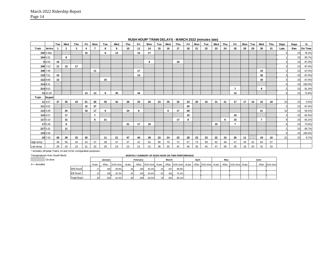|           |           | Tue | Wed                     | Thu | Fri | Mon            | Tue | Wed | Thu | Fri | Mon | Tue | Wed | Thu | Fri | Mon | Tue | Wed | Thu | Fri            | Mon | Tue | Wed            | Thu | Days | Days | %       |
|-----------|-----------|-----|-------------------------|-----|-----|----------------|-----|-----|-----|-----|-----|-----|-----|-----|-----|-----|-----|-----|-----|----------------|-----|-----|----------------|-----|------|------|---------|
| Train     | Arrive    |     | $\overline{\mathbf{2}}$ | 3   | 4   | $\overline{7}$ | 8   | 9   | 10  | 11  | 14  | 15  | 16  | 17  | 18  | 21  | 22  | 23  | 24  | 25             | 28  | 29  | 30             | -31 | Late | Ran  | On Time |
|           | 102 5:48a |     |                         |     | 15  |                | 8   | 13  |     | 14  | 17  |     |     |     |     |     |     |     |     |                |     |     |                |     |      | 23   | 78.3%   |
| 104 6:31  |           |     | 8                       |     |     |                |     |     |     |     |     |     |     |     |     |     |     |     |     |                |     |     |                |     |      | 23   | 95.7%   |
|           | 6 6:55    | 16  |                         |     |     |                |     |     |     |     | 6   |     |     | 18  |     |     |     |     |     |                |     |     |                |     |      | 23   | 87.0%   |
|           | 106 7:13  | 11  | 13                      | 17  |     |                |     |     |     |     |     |     |     |     |     |     |     |     |     |                |     |     |                |     |      | 23   | 87.0%   |
|           | 108 7:35  |     |                         |     |     | 11             |     |     |     | 17  |     |     |     |     |     |     |     |     |     |                |     |     | 10             |     |      | 23   | 87.0%   |
| 110 7:51  |           | 15  |                         |     |     |                |     |     |     | 13  |     |     |     |     |     |     |     |     |     |                |     |     | 32             |     |      | 23   | 87.0%   |
|           | 112 8:08  | 12  |                         |     |     |                | 15  |     |     |     |     |     |     |     |     |     |     |     |     |                |     |     | 19             |     |      | 23   | 87.0%   |
| 114 8:31  |           |     |                         |     |     |                |     |     |     |     |     |     |     |     |     |     |     |     |     |                |     |     |                |     |      | 23   | 100.0%  |
|           | 214 8:52  |     |                         |     |     |                |     |     |     |     |     |     |     |     |     |     |     |     |     | $\overline{7}$ |     |     | 8              |     |      | 23   | 91.3%   |
|           | 14 10:28  |     |                         |     | 13  | 13             | 9   | 35  |     | 34  |     |     |     |     |     |     |     |     |     | 14             |     |     |                |     | 6    | 23   | 73.9%   |
| Train     | Depart    |     |                         |     |     |                |     |     |     |     |     |     |     |     |     |     |     |     |     |                |     |     |                |     |      |      |         |
|           | 11 3:57   | 37  | 30                      | 18  | 51  | 36             | 35  | 42  | 38  | 25  | 26  | 23  | 35  | 32  | 24  | 20  | 22  | 21  | 21  | 17             | 17  | 16  | 15             | 18  | 23   | 23   | 0.0%    |
|           | 111 4:02  |     |                         |     | 12  | 37             |     |     |     |     |     |     |     |     | 29  |     |     |     |     |                |     |     |                |     |      | 23   | 87.0%   |
|           | 113 4:28  |     | 25                      |     | 18  | 17             | 6   |     | 24  | 8   |     |     | 6   | 17  | 28  |     |     |     |     |                |     |     | 21             |     | 10   | 23   | 56.5%   |
| 115 4:57  |           |     | 17                      |     |     | $\overline{7}$ |     |     |     |     |     |     |     |     | 10  |     |     |     |     | 19             |     |     |                |     |      | 23   | 82.6%   |
|           | 117 5:10  |     | 31                      |     |     | 6              | 21  |     |     |     |     |     |     | 17  | 8   |     |     |     | 6   | 15             |     |     | $\overline{7}$ |     |      | 23   | 65.2%   |
|           | 17 5:28   |     | 9                       |     |     |                |     |     | 21  | 17  | 10  |     |     |     |     |     |     | 10  |     | $\overline{7}$ |     |     |                |     |      | 23   | 73.9%   |
|           | 217 5:32  |     | 11                      |     |     |                |     |     |     |     |     |     |     |     |     |     |     |     |     |                |     |     |                |     |      | 23   | 95.7%   |
|           | 119 5:58  |     |                         |     |     |                |     |     |     |     |     |     |     |     |     |     |     |     |     |                |     |     |                |     |      | 23   | 100.0%  |
|           | 19 7:10   | 28  | 39                      | 32  | 30  |                | 11  | 21  | 47  | 40  | 28  | 23  | 24  | 23  | 28  | 23  | 23  | 22  | 15  | 26             | 11  |     | 19             | 10  | 21   | 23   | 8.7%    |
| High temp |           | 48  | 56                      | 34  | 43  | 37             | 38  | 47  | 37  | 31  | 62  | 56  | 70  | 72  | 57  | 73  | 58  | 62  | 48  | 47             | 34  | 42  | 64             | 57  |      |      |         |
| Low temp  |           | 29  | 24                      | 23  | 21  | 32             | 29  | 24  | 23  | 21  | 31  | 36  | 35  | 42  | 46  | 35  | 45  | 47  | 39  | 35             | 18  | 20  | 41             | 33  |      |      |         |

**RUSH HOUR\* TRAIN DELAYS - MARCH 2022 (minutes late)**

\* Includes off-peak Trains 14 and 19 for comparative purposes

| On time        |                   |       | January |          |           | February |       |    | March |       | April |  | Mav |                                                                             |  | June |               |
|----------------|-------------------|-------|---------|----------|-----------|----------|-------|----|-------|-------|-------|--|-----|-----------------------------------------------------------------------------|--|------|---------------|
| $A =$ Annulled |                   | #Late | #Ran    | %On time | #Late     |          |       |    |       |       |       |  |     | #Ran Wontime #Late #Ran Wontime #Late #Ran Wontime #Late #Ran Wontime #Late |  |      | #Ran %On time |
|                | <b>WB Rush</b>    |       | 185     | 90.8%    | 30        | 180      | 83.3% | 23 | 207   | 88.9% |       |  |     |                                                                             |  |      |               |
|                | EB Rush           |       | 168     | 92.3%    | <b>26</b> | 159      | 83.6% | 55 | 184   | 70.1% |       |  |     |                                                                             |  |      |               |
|                | <b>Total Rush</b> |       | 353     | 91.5%    | 56        | 339      | 83.5% | 78 | 391   | 80.1% |       |  |     |                                                                             |  |      |               |

Temperatures from South Bend **MONTHLY SUMMARY OF RUSH HOUR ON TIME PERFORMANCE**